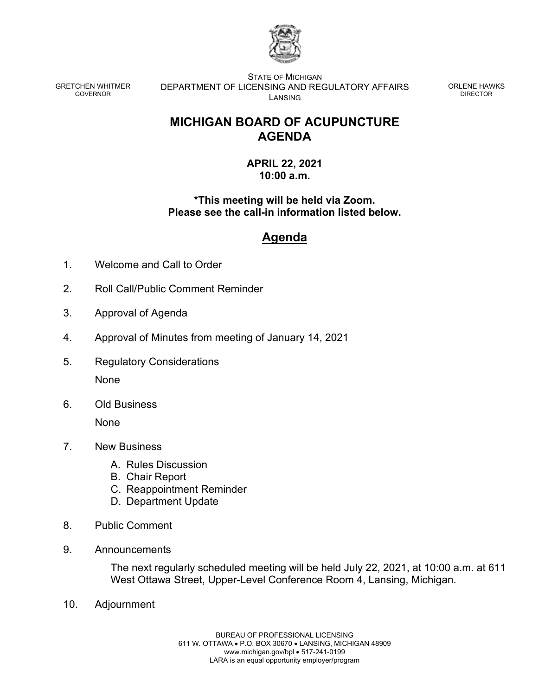

GRETCHEN WHITMER GOVERNOR

STATE OF MICHIGAN DEPARTMENT OF LICENSING AND REGULATORY AFFAIRS LANSING

ORLENE HAWKS DIRECTOR

## **MICHIGAN BOARD OF ACUPUNCTURE AGENDA**

### **APRIL 22, 2021 10:00 a.m.**

## **\*This meeting will be held via Zoom. Please see the call-in information listed below.**

# **Agenda**

- 1. Welcome and Call to Order
- 2. Roll Call/Public Comment Reminder
- 3. Approval of Agenda
- 4. Approval of Minutes from meeting of January 14, 2021
- 5. Regulatory Considerations None
- 6. Old Business

None

- 7. New Business
	- A. Rules Discussion
	- B. Chair Report
	- C. Reappointment Reminder
	- D. Department Update
- 8. Public Comment
- 9. Announcements

The next regularly scheduled meeting will be held July 22, 2021, at 10:00 a.m. at 611 West Ottawa Street, Upper-Level Conference Room 4, Lansing, Michigan.

10. Adjournment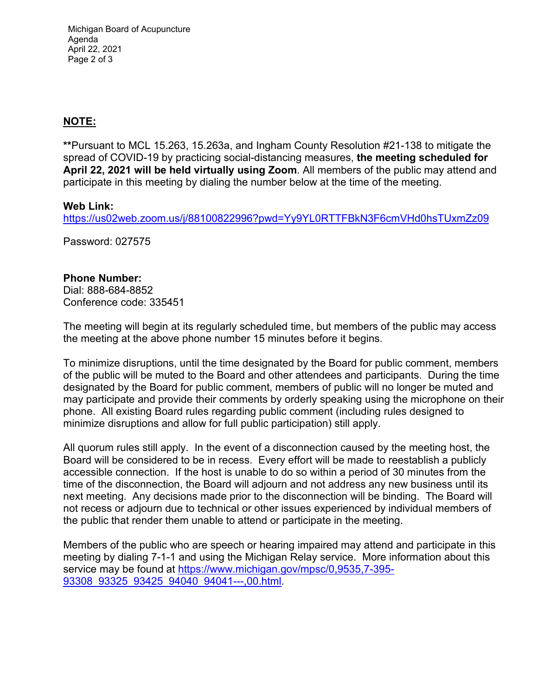Michigan Board of Acupuncture Agenda April 22, 2021 Page 2 of 3

## **NOTE:**

**\*\***Pursuant to MCL 15.263, 15.263a, and Ingham County Resolution #21-138 to mitigate the spread of COVID-19 by practicing social-distancing measures, **the meeting scheduled for April 22, 2021 will be held virtually using Zoom**. All members of the public may attend and participate in this meeting by dialing the number below at the time of the meeting.

### **Web Link:**

<https://us02web.zoom.us/j/88100822996?pwd=Yy9YL0RTTFBkN3F6cmVHd0hsTUxmZz09>

Password: 027575

#### **Phone Number:**

Dial: 888-684-8852 Conference code: 335451

The meeting will begin at its regularly scheduled time, but members of the public may access the meeting at the above phone number 15 minutes before it begins.

To minimize disruptions, until the time designated by the Board for public comment, members of the public will be muted to the Board and other attendees and participants. During the time designated by the Board for public comment, members of public will no longer be muted and may participate and provide their comments by orderly speaking using the microphone on their phone. All existing Board rules regarding public comment (including rules designed to minimize disruptions and allow for full public participation) still apply.

All quorum rules still apply. In the event of a disconnection caused by the meeting host, the Board will be considered to be in recess. Every effort will be made to reestablish a publicly accessible connection. If the host is unable to do so within a period of 30 minutes from the time of the disconnection, the Board will adjourn and not address any new business until its next meeting. Any decisions made prior to the disconnection will be binding. The Board will not recess or adjourn due to technical or other issues experienced by individual members of the public that render them unable to attend or participate in the meeting.

Members of the public who are speech or hearing impaired may attend and participate in this meeting by dialing 7-1-1 and using the Michigan Relay service. More information about this service may be found at [https://www.michigan.gov/mpsc/0,9535,7-395-](https://www.michigan.gov/mpsc/0,9535,7-395-93308_93325_93425_94040_94041---,00.html) 93308\_93325\_93425\_94040\_94041---,00.html